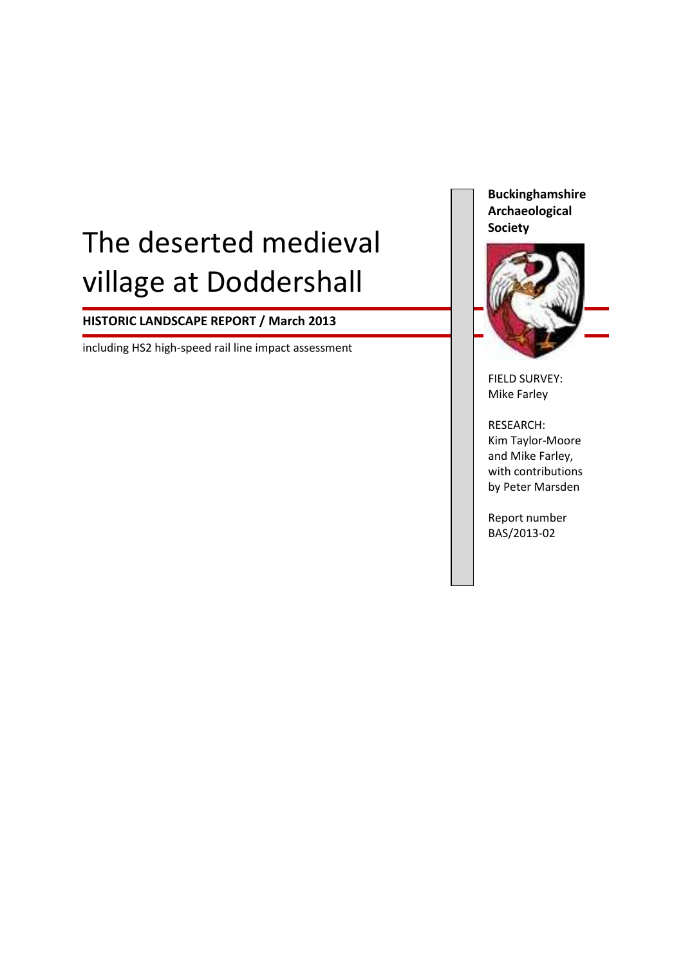# The deserted medieval village at Doddershall

# **HISTORIC LANDSCAPE REPORT / March 2013**

including HS2 high-speed rail line impact assessment

**Buckinghamshire Archaeological Society**



FIELD SURVEY: Mike Farley

RESEARCH: Kim Taylor-Moore and Mike Farley, with contributions by Peter Marsden

Report number BAS/2013-02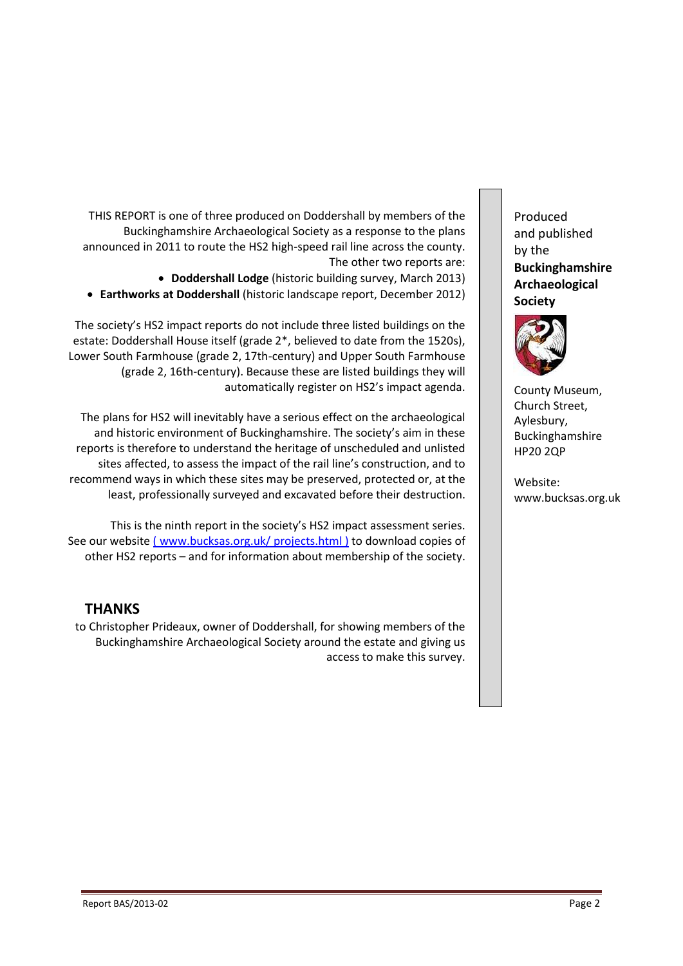THIS REPORT is one of three produced on Doddershall by members of the Buckinghamshire Archaeological Society as a response to the plans announced in 2011 to route the HS2 high-speed rail line across the county. The other two reports are: **Doddershall Lodge** (historic building survey, March 2013)

**Earthworks at Doddershall** (historic landscape report, December 2012)

The society's HS2 impact reports do not include three listed buildings on the estate: Doddershall House itself (grade 2\*, believed to date from the 1520s), Lower South Farmhouse (grade 2, 17th-century) and Upper South Farmhouse (grade 2, 16th-century). Because these are listed buildings they will automatically register on HS2's impact agenda.

The plans for HS2 will inevitably have a serious effect on the archaeological and historic environment of Buckinghamshire. The society's aim in these reports is therefore to understand the heritage of unscheduled and unlisted sites affected, to assess the impact of the rail line's construction, and to recommend ways in which these sites may be preserved, protected or, at the least, professionally surveyed and excavated before their destruction.

This is the ninth report in the society's HS2 impact assessment series. See our website ( [www.bucksas.org.uk/](http://www.bucksas.org.uk/) projects.html) to download copies of other HS2 reports – and for information about membership of the society.

# **THANKS**

to Christopher Prideaux, owner of Doddershall, for showing members of the Buckinghamshire Archaeological Society around the estate and giving us access to make this survey.

Produced and published by the **Buckinghamshire Archaeological Society**



County Museum, Church Street, Aylesbury, Buckinghamshire HP20 2QP

Website: www.bucksas.org.uk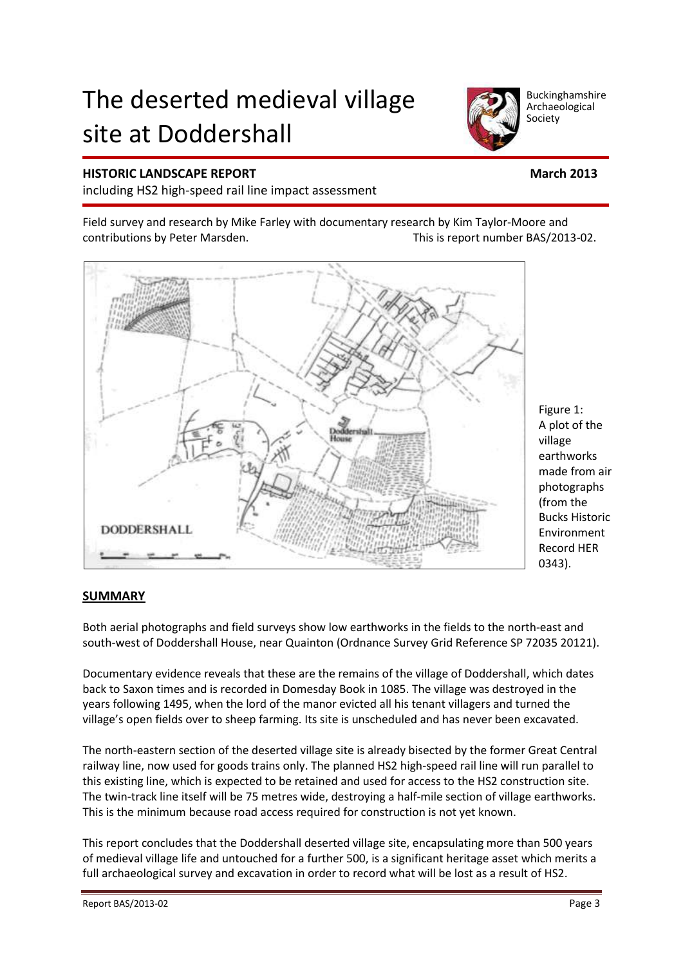# The deserted medieval village site at Doddershall



including HS2 high-speed rail line impact assessment

Field survey and research by Mike Farley with documentary research by Kim Taylor-Moore and contributions by Peter Marsden. This is report number BAS/2013-02.



#### **SUMMARY**

Both aerial photographs and field surveys show low earthworks in the fields to the north-east and south-west of Doddershall House, near Quainton (Ordnance Survey Grid Reference SP 72035 20121).

Documentary evidence reveals that these are the remains of the village of Doddershall, which dates back to Saxon times and is recorded in Domesday Book in 1085. The village was destroyed in the years following 1495, when the lord of the manor evicted all his tenant villagers and turned the village's open fields over to sheep farming. Its site is unscheduled and has never been excavated.

The north-eastern section of the deserted village site is already bisected by the former Great Central railway line, now used for goods trains only. The planned HS2 high-speed rail line will run parallel to this existing line, which is expected to be retained and used for access to the HS2 construction site. The twin-track line itself will be 75 metres wide, destroying a half-mile section of village earthworks. This is the minimum because road access required for construction is not yet known.

This report concludes that the Doddershall deserted village site, encapsulating more than 500 years of medieval village life and untouched for a further 500, is a significant heritage asset which merits a full archaeological survey and excavation in order to record what will be lost as a result of HS2.

Buckinghamshire Archaeological Society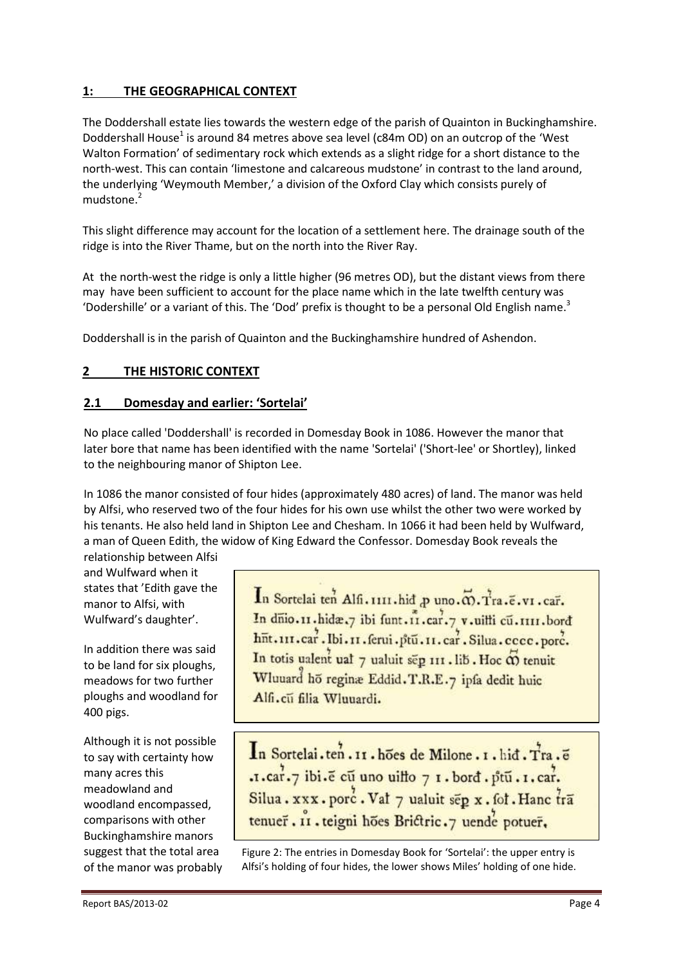# **1: THE GEOGRAPHICAL CONTEXT**

The Doddershall estate lies towards the western edge of the parish of Quainton in Buckinghamshire. Doddershall House<sup>1</sup> is around 84 metres above sea level (c84m OD) on an outcrop of the 'West Walton Formation' of sedimentary rock which extends as a slight ridge for a short distance to the north-west. This can contain 'limestone and calcareous mudstone' in contrast to the land around, the underlying 'Weymouth Member,' a division of the Oxford Clay which consists purely of mudstone.<sup>2</sup>

This slight difference may account for the location of a settlement here. The drainage south of the ridge is into the River Thame, but on the north into the River Ray.

At the north-west the ridge is only a little higher (96 metres OD), but the distant views from there may have been sufficient to account for the place name which in the late twelfth century was 'Dodershille' or a variant of this. The 'Dod' prefix is thought to be a personal Old English name.<sup>3</sup>

Doddershall is in the parish of Quainton and the Buckinghamshire hundred of Ashendon.

# **2 THE HISTORIC CONTEXT**

#### **2.1 Domesday and earlier: 'Sortelai'**

No place called 'Doddershall' is recorded in Domesday Book in 1086. However the manor that later bore that name has been identified with the name 'Sortelai' ('Short-lee' or Shortley), linked to the neighbouring manor of Shipton Lee.

In 1086 the manor consisted of four hides (approximately 480 acres) of land. The manor was held by Alfsi, who reserved two of the four hides for his own use whilst the other two were worked by his tenants. He also held land in Shipton Lee and Chesham. In 1066 it had been held by Wulfward, a man of Queen Edith, the widow of King Edward the Confessor. Domesday Book reveals the relationship between Alfsi

and Wulfward when it states that 'Edith gave the manor to Alfsi, with Wulfward's daughter'.

In addition there was said to be land for six ploughs, meadows for two further ploughs and woodland for 400 pigs.

Although it is not possible to say with certainty how many acres this meadowland and woodland encompassed, comparisons with other Buckinghamshire manors suggest that the total area of the manor was probably In Sortelai ten Alfi. 1111. hid p uno. @. Tra. e. v1. car. In dnio.11.hida.7 ibi funt.11.car.7 v.uilli cu.1111.bord<br>hnt.111.car.1bi.11.ferui.ptu.11.car.Silua.cccc.porc. In totis ualent ual 7 ualuit sep 111. lib. Hoc  $\vec{\omega}$  tenuit Wluuard ho reginae Eddid. T.R.E.7 ipfa dedit huic Alfi.cu filia Wluuardi.

In Sortelai.ten. II. hoes de Milone. I. hid. Tra. e .1. car. 7 ibi. e cu uno uillo 7 1. bord. ptu. 1. car. Silua. xxx. porc. Vat 7 ualuit sep x. fot. Hanc tra tenuer. II. teigni hões Brictric.7 uende potuer.

Figure 2: The entries in Domesday Book for 'Sortelai': the upper entry is Alfsi's holding of four hides, the lower shows Miles' holding of one hide.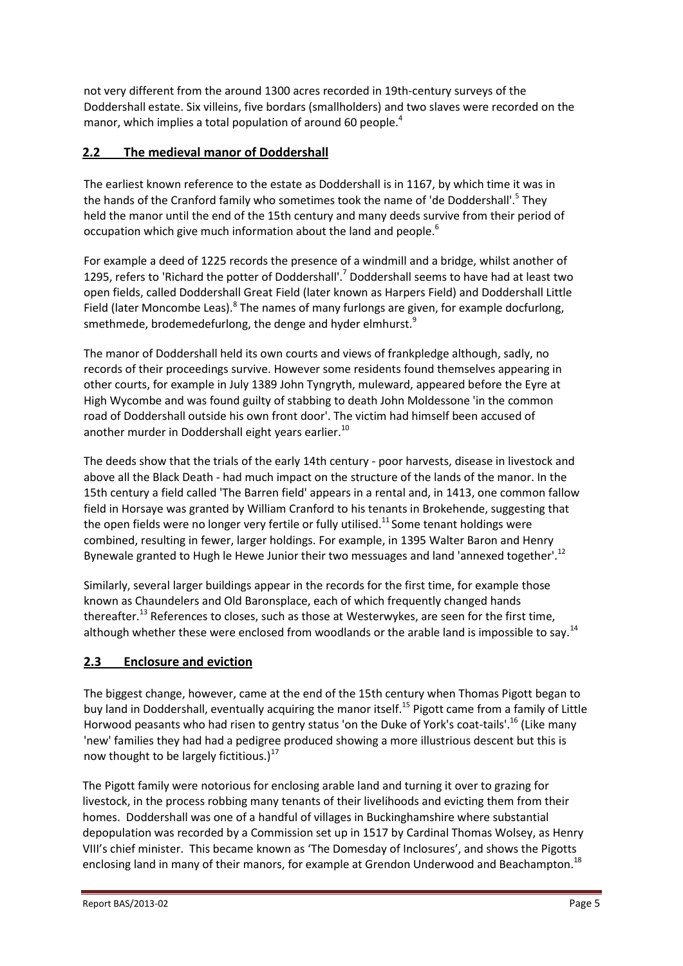not very different from the around 1300 acres recorded in 19th-century surveys of the Doddershall estate. Six villeins, five bordars (smallholders) and two slaves were recorded on the manor, which implies a total population of around 60 people.<sup>4</sup>

# **2.2 The medieval manor of Doddershall**

The earliest known reference to the estate as Doddershall is in 1167, by which time it was in the hands of the Cranford family who sometimes took the name of 'de Doddershall'.<sup>5</sup> They held the manor until the end of the 15th century and many deeds survive from their period of occupation which give much information about the land and people.<sup>6</sup>

For example a deed of 1225 records the presence of a windmill and a bridge, whilst another of 1295, refers to 'Richard the potter of Doddershall'.<sup>7</sup> Doddershall seems to have had at least two open fields, called Doddershall Great Field (later known as Harpers Field) and Doddershall Little Field (later Moncombe Leas).<sup>8</sup> The names of many furlongs are given, for example docfurlong, smethmede, brodemedefurlong, the denge and hyder elmhurst. $9$ 

The manor of Doddershall held its own courts and views of frankpledge although, sadly, no records of their proceedings survive. However some residents found themselves appearing in other courts, for example in July 1389 John Tyngryth, muleward, appeared before the Eyre at High Wycombe and was found guilty of stabbing to death John Moldessone 'in the common road of Doddershall outside his own front door'. The victim had himself been accused of another murder in Doddershall eight years earlier.<sup>10</sup>

The deeds show that the trials of the early 14th century - poor harvests, disease in livestock and above all the Black Death - had much impact on the structure of the lands of the manor. In the 15th century a field called 'The Barren field' appears in a rental and, in 1413, one common fallow field in Horsaye was granted by William Cranford to his tenants in Brokehende, suggesting that the open fields were no longer very fertile or fully utilised.<sup>11</sup> Some tenant holdings were combined, resulting in fewer, larger holdings. For example, in 1395 Walter Baron and Henry Bynewale granted to Hugh le Hewe Junior their two messuages and land 'annexed together'.<sup>12</sup>

Similarly, several larger buildings appear in the records for the first time, for example those known as Chaundelers and Old Baronsplace, each of which frequently changed hands thereafter.<sup>13</sup> References to closes, such as those at Westerwykes, are seen for the first time, although whether these were enclosed from woodlands or the arable land is impossible to say.<sup>14</sup>

# **2.3 Enclosure and eviction**

The biggest change, however, came at the end of the 15th century when Thomas Pigott began to buy land in Doddershall, eventually acquiring the manor itself.<sup>15</sup> Pigott came from a family of Little Horwood peasants who had risen to gentry status 'on the Duke of York's coat-tails'.<sup>16</sup> (Like many 'new' families they had had a pedigree produced showing a more illustrious descent but this is now thought to be largely fictitious.)<sup>17</sup>

The Pigott family were notorious for enclosing arable land and turning it over to grazing for livestock, in the process robbing many tenants of their livelihoods and evicting them from their homes. Doddershall was one of a handful of villages in Buckinghamshire where substantial depopulation was recorded by a Commission set up in 1517 by Cardinal Thomas Wolsey, as Henry VIII's chief minister. This became known as 'The Domesday of Inclosures', and shows the Pigotts enclosing land in many of their manors, for example at Grendon Underwood and Beachampton.<sup>18</sup>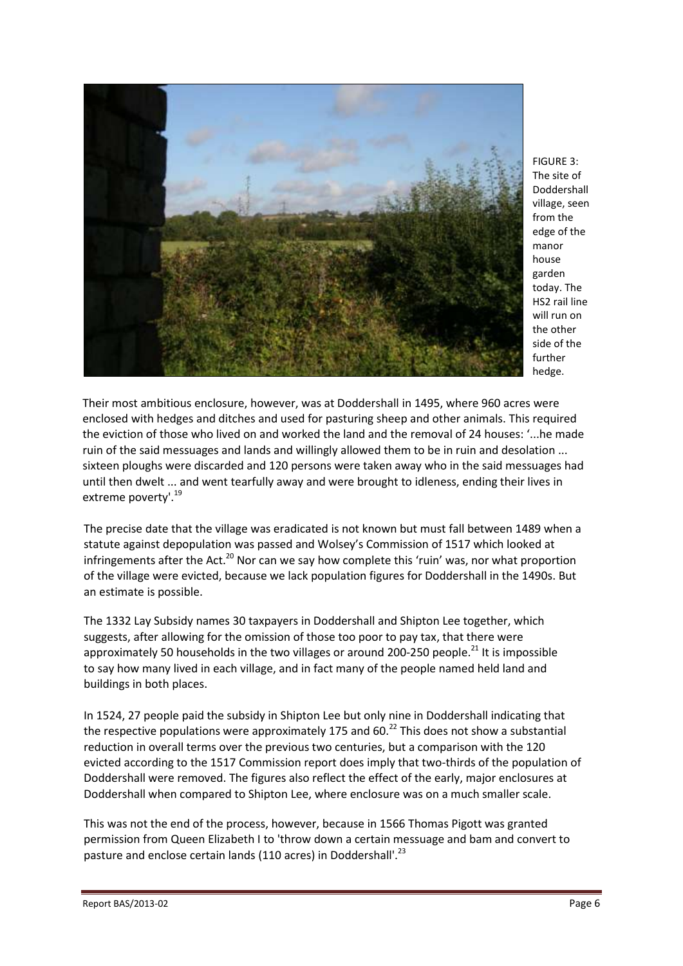

FIGURE 3: The site of Doddershall village, seen from the edge of the manor house garden today. The HS2 rail line will run on the other side of the further hedge.

Their most ambitious enclosure, however, was at Doddershall in 1495, where 960 acres were enclosed with hedges and ditches and used for pasturing sheep and other animals. This required the eviction of those who lived on and worked the land and the removal of 24 houses: '...he made ruin of the said messuages and lands and willingly allowed them to be in ruin and desolation ... sixteen ploughs were discarded and 120 persons were taken away who in the said messuages had until then dwelt ... and went tearfully away and were brought to idleness, ending their lives in extreme poverty'.<sup>19</sup>

The precise date that the village was eradicated is not known but must fall between 1489 when a statute against depopulation was passed and Wolsey's Commission of 1517 which looked at infringements after the Act.<sup>20</sup> Nor can we say how complete this 'ruin' was, nor what proportion of the village were evicted, because we lack population figures for Doddershall in the 1490s. But an estimate is possible.

The 1332 Lay Subsidy names 30 taxpayers in Doddershall and Shipton Lee together, which suggests, after allowing for the omission of those too poor to pay tax, that there were approximately 50 households in the two villages or around 200-250 people.<sup>21</sup> It is impossible to say how many lived in each village, and in fact many of the people named held land and buildings in both places.

In 1524, 27 people paid the subsidy in Shipton Lee but only nine in Doddershall indicating that the respective populations were approximately 175 and 60.<sup>22</sup> This does not show a substantial reduction in overall terms over the previous two centuries, but a comparison with the 120 evicted according to the 1517 Commission report does imply that two-thirds of the population of Doddershall were removed. The figures also reflect the effect of the early, major enclosures at Doddershall when compared to Shipton Lee, where enclosure was on a much smaller scale.

This was not the end of the process, however, because in 1566 Thomas Pigott was granted permission from Queen Elizabeth I to 'throw down a certain messuage and bam and convert to pasture and enclose certain lands (110 acres) in Doddershall'.<sup>23</sup>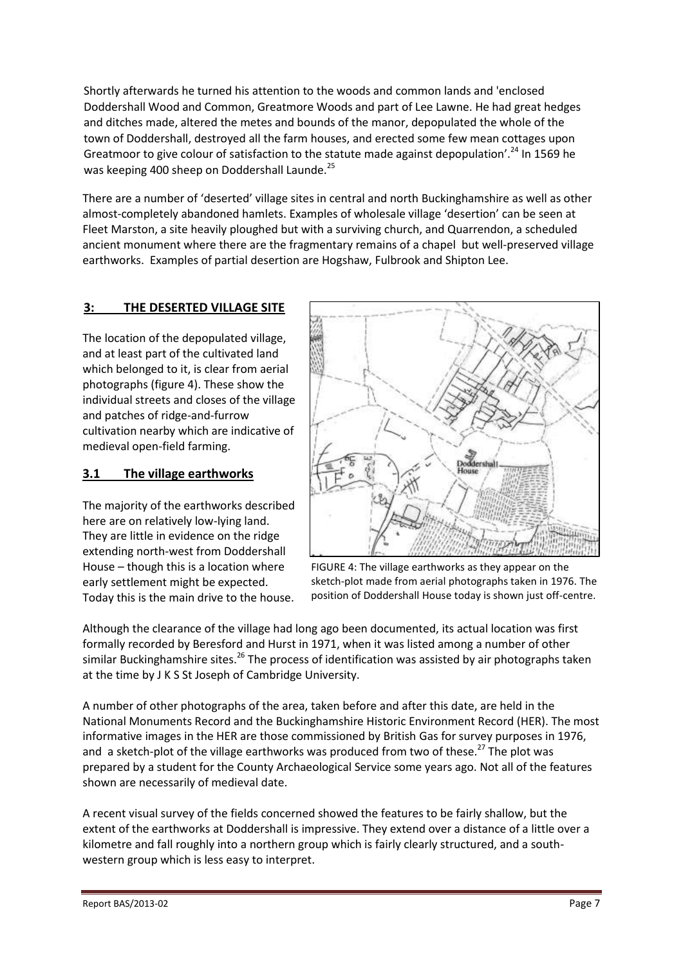Shortly afterwards he turned his attention to the woods and common lands and 'enclosed Doddershall Wood and Common, Greatmore Woods and part of Lee Lawne. He had great hedges and ditches made, altered the metes and bounds of the manor, depopulated the whole of the town of Doddershall, destroyed all the farm houses, and erected some few mean cottages upon Greatmoor to give colour of satisfaction to the statute made against depopulation'.<sup>24</sup> In 1569 he was keeping 400 sheep on Doddershall Launde.<sup>25</sup>

There are a number of 'deserted' village sites in central and north Buckinghamshire as well as other almost-completely abandoned hamlets. Examples of wholesale village 'desertion' can be seen at Fleet Marston, a site heavily ploughed but with a surviving church, and Quarrendon, a scheduled ancient monument where there are the fragmentary remains of a chapel but well-preserved village earthworks. Examples of partial desertion are Hogshaw, Fulbrook and Shipton Lee.

# **3: THE DESERTED VILLAGE SITE**

The location of the depopulated village, and at least part of the cultivated land which belonged to it, is clear from aerial photographs (figure 4). These show the individual streets and closes of the village and patches of ridge-and-furrow cultivation nearby which are indicative of medieval open-field farming.

#### **3.1 The village earthworks**

The majority of the earthworks described here are on relatively low-lying land. They are little in evidence on the ridge extending north-west from Doddershall House – though this is a location where early settlement might be expected. Today this is the main drive to the house.



FIGURE 4: The village earthworks as they appear on the sketch-plot made from aerial photographs taken in 1976. The position of Doddershall House today is shown just off-centre.

Although the clearance of the village had long ago been documented, its actual location was first formally recorded by Beresford and Hurst in 1971, when it was listed among a number of other similar Buckinghamshire sites.<sup>26</sup> The process of identification was assisted by air photographs taken at the time by J K S St Joseph of Cambridge University.

A number of other photographs of the area, taken before and after this date, are held in the National Monuments Record and the Buckinghamshire Historic Environment Record (HER). The most informative images in the HER are those commissioned by British Gas for survey purposes in 1976, and a sketch-plot of the village earthworks was produced from two of these.<sup>27</sup> The plot was prepared by a student for the County Archaeological Service some years ago. Not all of the features shown are necessarily of medieval date.

A recent visual survey of the fields concerned showed the features to be fairly shallow, but the extent of the earthworks at Doddershall is impressive. They extend over a distance of a little over a kilometre and fall roughly into a northern group which is fairly clearly structured, and a southwestern group which is less easy to interpret.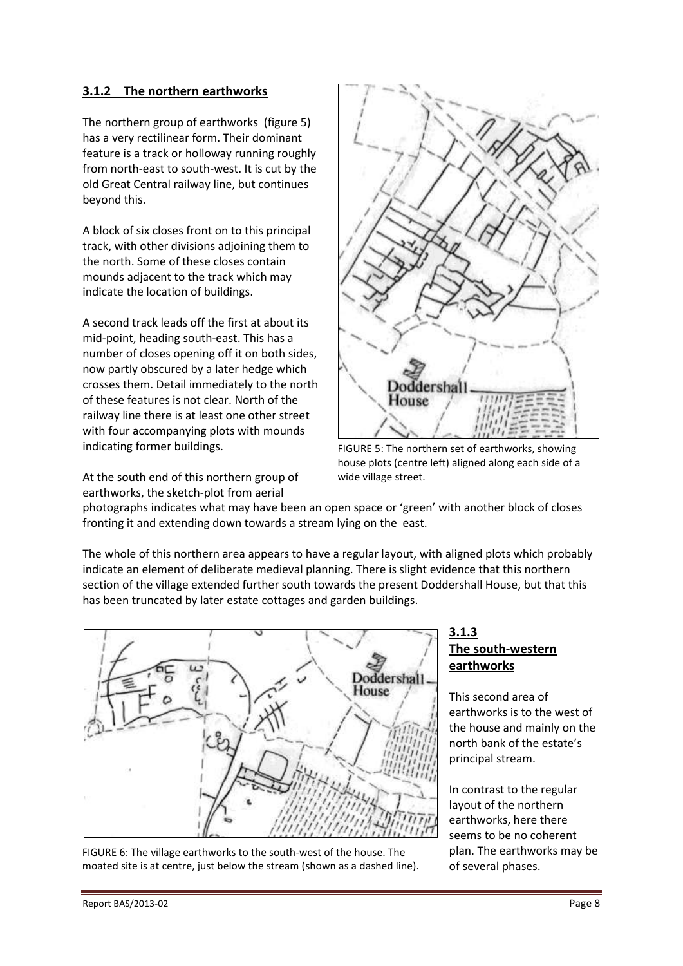## **3.1.2 The northern earthworks**

The northern group of earthworks (figure 5) has a very rectilinear form. Their dominant feature is a track or holloway running roughly from north-east to south-west. It is cut by the old Great Central railway line, but continues beyond this.

A block of six closes front on to this principal track, with other divisions adjoining them to the north. Some of these closes contain mounds adjacent to the track which may indicate the location of buildings.

A second track leads off the first at about its mid-point, heading south-east. This has a number of closes opening off it on both sides, now partly obscured by a later hedge which crosses them. Detail immediately to the north of these features is not clear. North of the railway line there is at least one other street with four accompanying plots with mounds indicating former buildings.

At the south end of this northern group of earthworks, the sketch-plot from aerial



FIGURE 5: The northern set of earthworks, showing house plots (centre left) aligned along each side of a wide village street.

photographs indicates what may have been an open space or 'green' with another block of closes fronting it and extending down towards a stream lying on the east.

The whole of this northern area appears to have a regular layout, with aligned plots which probably indicate an element of deliberate medieval planning. There is slight evidence that this northern section of the village extended further south towards the present Doddershall House, but that this has been truncated by later estate cottages and garden buildings.



FIGURE 6: The village earthworks to the south-west of the house. The moated site is at centre, just below the stream (shown as a dashed line).

#### **3.1.3 The south-western earthworks**

This second area of earthworks is to the west of the house and mainly on the north bank of the estate's principal stream.

In contrast to the regular layout of the northern earthworks, here there seems to be no coherent plan. The earthworks may be of several phases.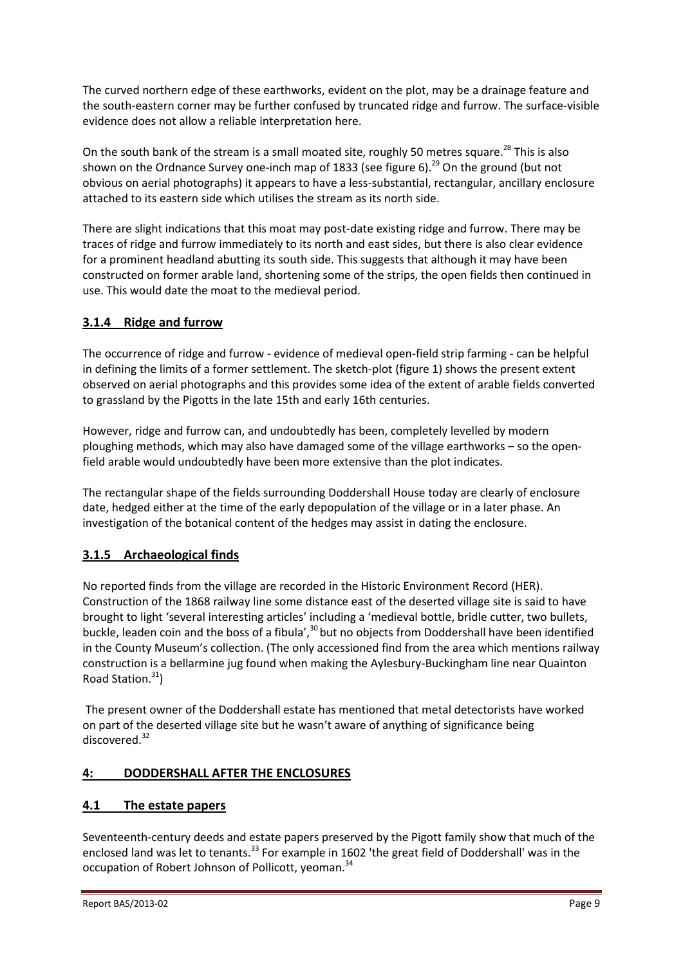The curved northern edge of these earthworks, evident on the plot, may be a drainage feature and the south-eastern corner may be further confused by truncated ridge and furrow. The surface-visible evidence does not allow a reliable interpretation here.

On the south bank of the stream is a small moated site, roughly 50 metres square.<sup>28</sup> This is also shown on the Ordnance Survey one-inch map of 1833 (see figure 6).<sup>29</sup> On the ground (but not obvious on aerial photographs) it appears to have a less-substantial, rectangular, ancillary enclosure attached to its eastern side which utilises the stream as its north side.

There are slight indications that this moat may post-date existing ridge and furrow. There may be traces of ridge and furrow immediately to its north and east sides, but there is also clear evidence for a prominent headland abutting its south side. This suggests that although it may have been constructed on former arable land, shortening some of the strips, the open fields then continued in use. This would date the moat to the medieval period.

# **3.1.4 Ridge and furrow**

The occurrence of ridge and furrow - evidence of medieval open-field strip farming - can be helpful in defining the limits of a former settlement. The sketch-plot (figure 1) shows the present extent observed on aerial photographs and this provides some idea of the extent of arable fields converted to grassland by the Pigotts in the late 15th and early 16th centuries.

However, ridge and furrow can, and undoubtedly has been, completely levelled by modern ploughing methods, which may also have damaged some of the village earthworks – so the openfield arable would undoubtedly have been more extensive than the plot indicates.

The rectangular shape of the fields surrounding Doddershall House today are clearly of enclosure date, hedged either at the time of the early depopulation of the village or in a later phase. An investigation of the botanical content of the hedges may assist in dating the enclosure.

# **3.1.5 Archaeological finds**

No reported finds from the village are recorded in the Historic Environment Record (HER). Construction of the 1868 railway line some distance east of the deserted village site is said to have brought to light 'several interesting articles' including a 'medieval bottle, bridle cutter, two bullets, buckle, leaden coin and the boss of a fibula',<sup>30</sup> but no objects from Doddershall have been identified in the County Museum's collection. (The only accessioned find from the area which mentions railway construction is a bellarmine jug found when making the Aylesbury-Buckingham line near Quainton Road Station. 31 )

The present owner of the Doddershall estate has mentioned that metal detectorists have worked on part of the deserted village site but he wasn't aware of anything of significance being discovered.<sup>32</sup>

# **4: DODDERSHALL AFTER THE ENCLOSURES**

# **4.1 The estate papers**

Seventeenth-century deeds and estate papers preserved by the Pigott family show that much of the enclosed land was let to tenants.<sup>33</sup> For example in 1602 'the great field of Doddershall' was in the occupation of Robert Johnson of Pollicott, yeoman.<sup>34</sup>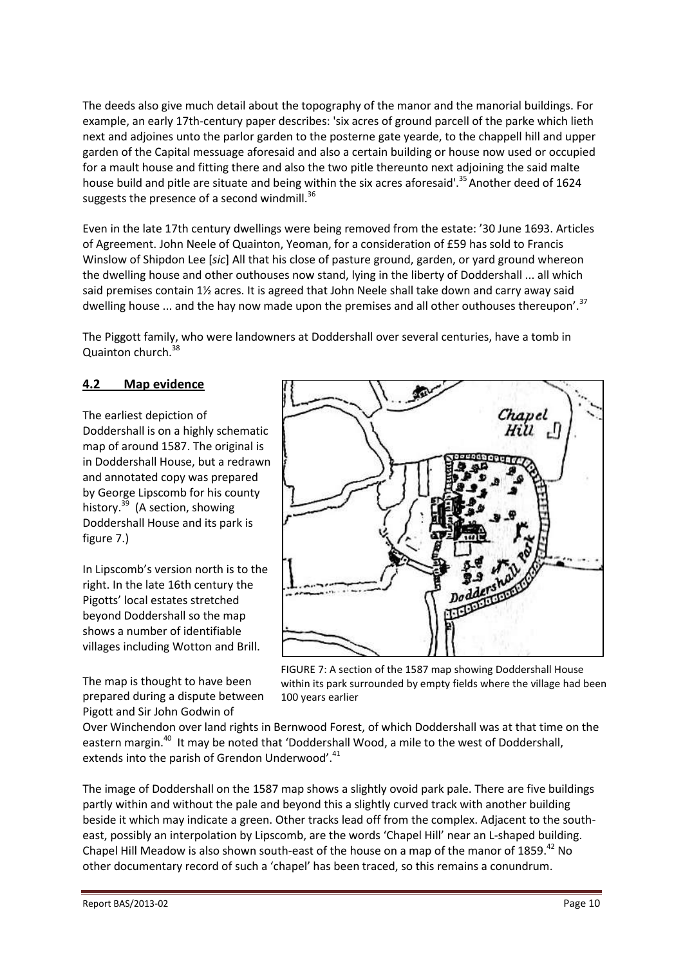The deeds also give much detail about the topography of the manor and the manorial buildings. For example, an early 17th-century paper describes: 'six acres of ground parcell of the parke which lieth next and adjoines unto the parlor garden to the posterne gate yearde, to the chappell hill and upper garden of the Capital messuage aforesaid and also a certain building or house now used or occupied for a mault house and fitting there and also the two pitle thereunto next adjoining the said malte house build and pitle are situate and being within the six acres aforesaid'.<sup>35</sup> Another deed of 1624 suggests the presence of a second windmill.<sup>36</sup>

Even in the late 17th century dwellings were being removed from the estate: '30 June 1693. Articles of Agreement. John Neele of Quainton, Yeoman, for a consideration of £59 has sold to Francis Winslow of Shipdon Lee [*sic*] All that his close of pasture ground, garden, or yard ground whereon the dwelling house and other outhouses now stand, lying in the liberty of Doddershall ... all which said premises contain 1½ acres. It is agreed that John Neele shall take down and carry away said dwelling house ... and the hay now made upon the premises and all other outhouses thereupon'.<sup>37</sup>

The Piggott family, who were landowners at Doddershall over several centuries, have a tomb in Quainton church.<sup>38</sup>

#### **4.2 Map evidence**

The earliest depiction of Doddershall is on a highly schematic map of around 1587. The original is in Doddershall House, but a redrawn and annotated copy was prepared by George Lipscomb for his county history.<sup>39</sup> (A section, showing Doddershall House and its park is figure 7.)

In Lipscomb's version north is to the right. In the late 16th century the Pigotts' local estates stretched beyond Doddershall so the map shows a number of identifiable villages including Wotton and Brill.

The map is thought to have been prepared during a dispute between Pigott and Sir John Godwin of



FIGURE 7: A section of the 1587 map showing Doddershall House within its park surrounded by empty fields where the village had been 100 years earlier

Over Winchendon over land rights in Bernwood Forest, of which Doddershall was at that time on the eastern margin.<sup>40</sup> It may be noted that 'Doddershall Wood, a mile to the west of Doddershall, extends into the parish of Grendon Underwood'.<sup>41</sup>

The image of Doddershall on the 1587 map shows a slightly ovoid park pale. There are five buildings partly within and without the pale and beyond this a slightly curved track with another building beside it which may indicate a green. Other tracks lead off from the complex. Adjacent to the southeast, possibly an interpolation by Lipscomb, are the words 'Chapel Hill' near an L-shaped building. Chapel Hill Meadow is also shown south-east of the house on a map of the manor of 1859.<sup>42</sup> No other documentary record of such a 'chapel' has been traced, so this remains a conundrum.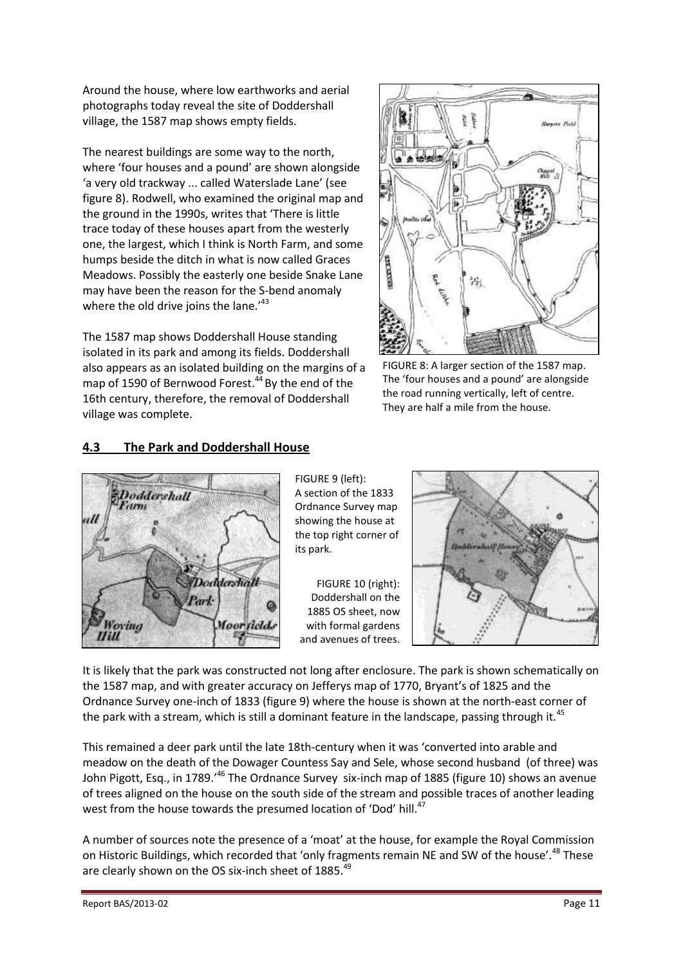Around the house, where low earthworks and aerial photographs today reveal the site of Doddershall village, the 1587 map shows empty fields.

The nearest buildings are some way to the north, where 'four houses and a pound' are shown alongside 'a very old trackway ... called Waterslade Lane' (see figure 8). Rodwell, who examined the original map and the ground in the 1990s, writes that 'There is little trace today of these houses apart from the westerly one, the largest, which I think is North Farm, and some humps beside the ditch in what is now called Graces Meadows. Possibly the easterly one beside Snake Lane may have been the reason for the S-bend anomaly where the old drive joins the lane. $143$ 

The 1587 map shows Doddershall House standing isolated in its park and among its fields. Doddershall also appears as an isolated building on the margins of a map of 1590 of Bernwood Forest. <sup>44</sup> By the end of the 16th century, therefore, the removal of Doddershall village was complete.



FIGURE 8: A larger section of the 1587 map. The 'four houses and a pound' are alongside the road running vertically, left of centre. They are half a mile from the house.

# **4.3 The Park and Doddershall House**



FIGURE 9 (left): A section of the 1833 Ordnance Survey map showing the house at the top right corner of its park.

FIGURE 10 (right): Doddershall on the 1885 OS sheet, now with formal gardens and avenues of trees.



It is likely that the park was constructed not long after enclosure. The park is shown schematically on the 1587 map, and with greater accuracy on Jefferys map of 1770, Bryant's of 1825 and the Ordnance Survey one-inch of 1833 (figure 9) where the house is shown at the north-east corner of the park with a stream, which is still a dominant feature in the landscape, passing through it.<sup>45</sup>

This remained a deer park until the late 18th-century when it was 'converted into arable and meadow on the death of the Dowager Countess Say and Sele, whose second husband (of three) was John Pigott, Esq., in 1789.'<sup>46</sup> The Ordnance Survey six-inch map of 1885 (figure 10) shows an avenue of trees aligned on the house on the south side of the stream and possible traces of another leading west from the house towards the presumed location of 'Dod' hill.<sup>47</sup>

A number of sources note the presence of a 'moat' at the house, for example the Royal Commission on Historic Buildings, which recorded that 'only fragments remain NE and SW of the house'.<sup>48</sup> These are clearly shown on the OS six-inch sheet of 1885.<sup>49</sup>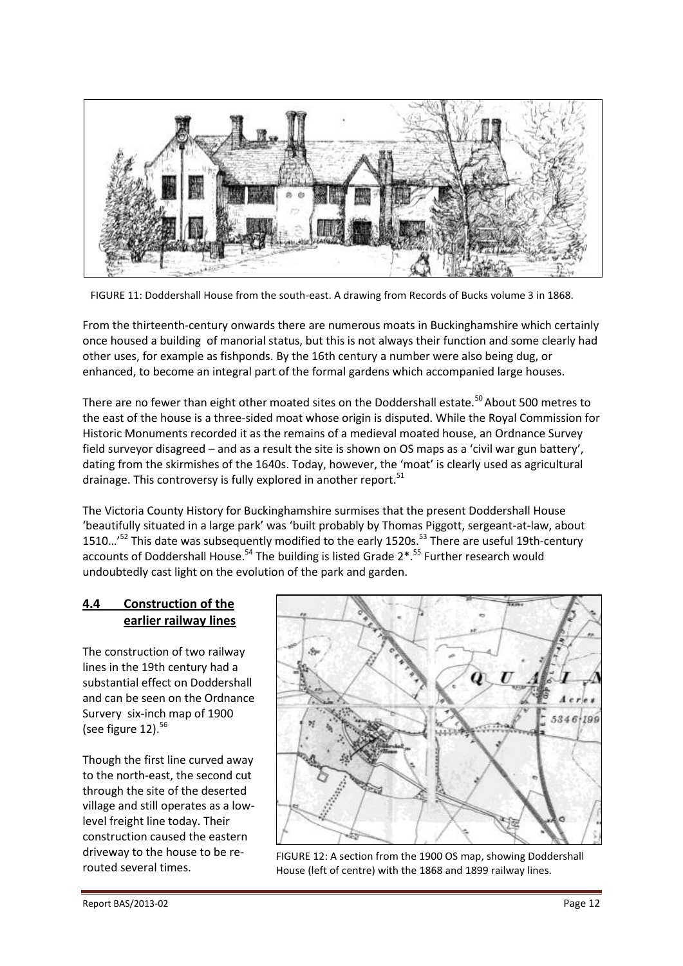

FIGURE 11: Doddershall House from the south-east. A drawing from Records of Bucks volume 3 in 1868.

From the thirteenth-century onwards there are numerous moats in Buckinghamshire which certainly once housed a building of manorial status, but this is not always their function and some clearly had other uses, for example as fishponds. By the 16th century a number were also being dug, or enhanced, to become an integral part of the formal gardens which accompanied large houses.

There are no fewer than eight other moated sites on the Doddershall estate.<sup>50</sup> About 500 metres to the east of the house is a three-sided moat whose origin is disputed. While the Royal Commission for Historic Monuments recorded it as the remains of a medieval moated house, an Ordnance Survey field surveyor disagreed – and as a result the site is shown on OS maps as a 'civil war gun battery', dating from the skirmishes of the 1640s. Today, however, the 'moat' is clearly used as agricultural drainage. This controversy is fully explored in another report.<sup>51</sup>

The Victoria County History for Buckinghamshire surmises that the present Doddershall House 'beautifully situated in a large park' was 'built probably by Thomas Piggott, sergeant-at-law, about 1510...<sup>,52</sup> This date was subsequently modified to the early 1520s.<sup>53</sup> There are useful 19th-century accounts of Doddershall House.<sup>54</sup> The building is listed Grade 2<sup>\*</sup>.<sup>55</sup> Further research would undoubtedly cast light on the evolution of the park and garden.

#### **4.4 Construction of the earlier railway lines**

The construction of two railway lines in the 19th century had a substantial effect on Doddershall and can be seen on the Ordnance Survery six-inch map of 1900 (see figure  $12$ ).<sup>56</sup>

Though the first line curved away to the north-east, the second cut through the site of the deserted village and still operates as a lowlevel freight line today. Their construction caused the eastern driveway to the house to be rerouted several times.



FIGURE 12: A section from the 1900 OS map, showing Doddershall House (left of centre) with the 1868 and 1899 railway lines.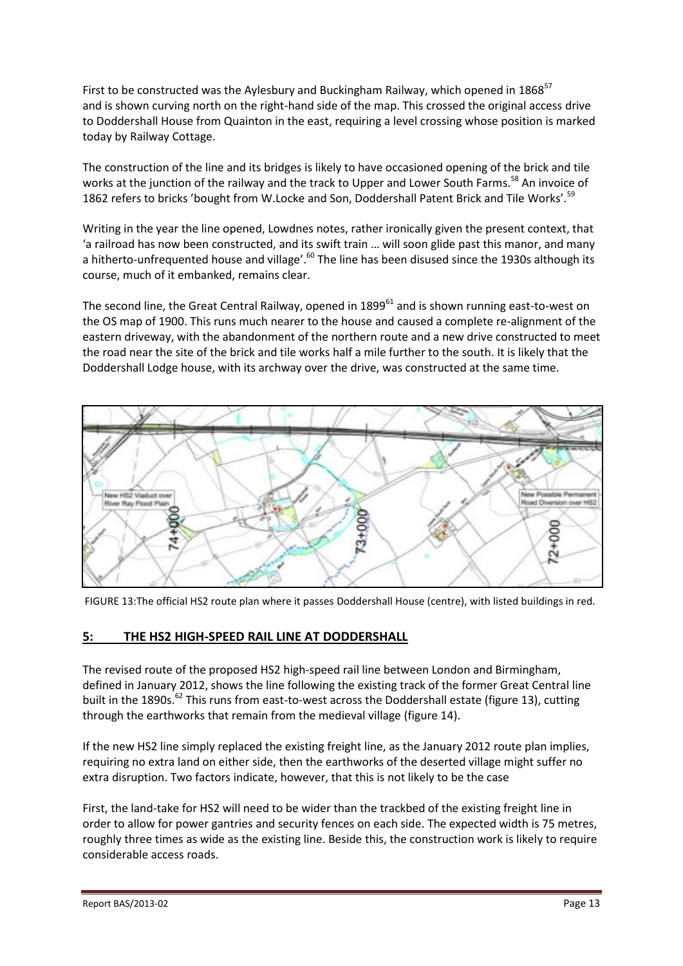First to be constructed was the Aylesbury and Buckingham Railway, which opened in  $1868^{57}$ and is shown curving north on the right-hand side of the map. This crossed the original access drive to Doddershall House from Quainton in the east, requiring a level crossing whose position is marked today by Railway Cottage.

The construction of the line and its bridges is likely to have occasioned opening of the brick and tile works at the junction of the railway and the track to Upper and Lower South Farms.<sup>58</sup> An invoice of 1862 refers to bricks 'bought from W.Locke and Son, Doddershall Patent Brick and Tile Works'.<sup>59</sup>

Writing in the year the line opened, Lowdnes notes, rather ironically given the present context, that 'a railroad has now been constructed, and its swift train … will soon glide past this manor, and many a hitherto-unfrequented house and village'.<sup>60</sup> The line has been disused since the 1930s although its course, much of it embanked, remains clear.

The second line, the Great Central Railway, opened in 1899<sup>61</sup> and is shown running east-to-west on the OS map of 1900. This runs much nearer to the house and caused a complete re-alignment of the eastern driveway, with the abandonment of the northern route and a new drive constructed to meet the road near the site of the brick and tile works half a mile further to the south. It is likely that the Doddershall Lodge house, with its archway over the drive, was constructed at the same time.



FIGURE 13:The official HS2 route plan where it passes Doddershall House (centre), with listed buildings in red.

# **5: THE HS2 HIGH-SPEED RAIL LINE AT DODDERSHALL**

The revised route of the proposed HS2 high-speed rail line between London and Birmingham, defined in January 2012, shows the line following the existing track of the former Great Central line built in the 1890s.<sup>62</sup> This runs from east-to-west across the Doddershall estate (figure 13), cutting through the earthworks that remain from the medieval village (figure 14).

If the new HS2 line simply replaced the existing freight line, as the January 2012 route plan implies, requiring no extra land on either side, then the earthworks of the deserted village might suffer no extra disruption. Two factors indicate, however, that this is not likely to be the case

First, the land-take for HS2 will need to be wider than the trackbed of the existing freight line in order to allow for power gantries and security fences on each side. The expected width is 75 metres, roughly three times as wide as the existing line. Beside this, the construction work is likely to require considerable access roads.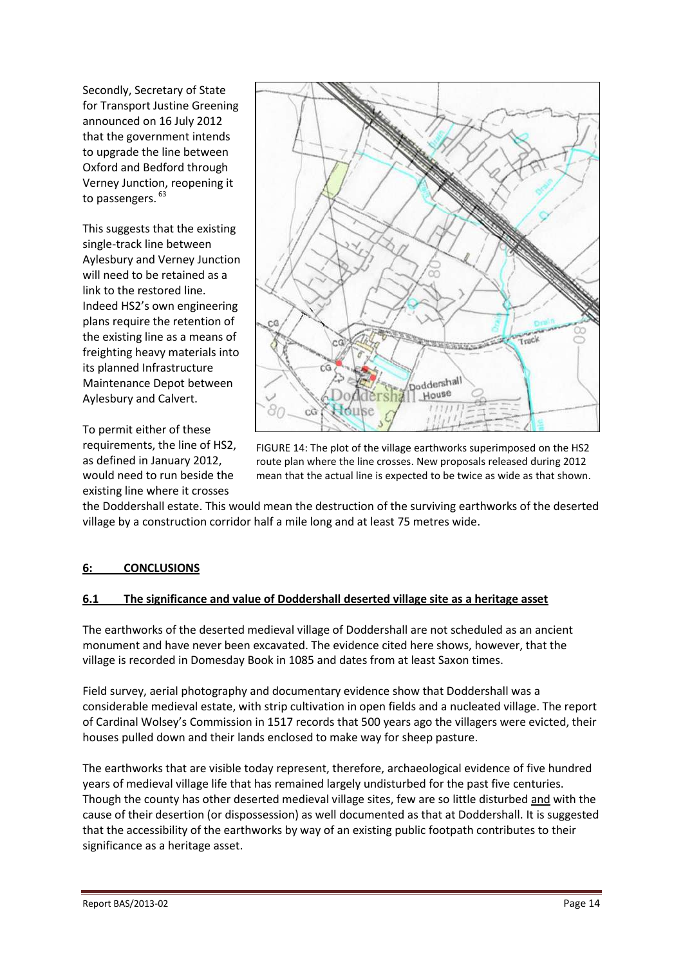Secondly, Secretary of State for Transport Justine Greening announced on 16 July 2012 that the government intends to upgrade the line between Oxford and Bedford through Verney Junction, reopening it to passengers.<sup>63</sup>

This suggests that the existing single-track line between Aylesbury and Verney Junction will need to be retained as a link to the restored line. Indeed HS2's own engineering plans require the retention of the existing line as a means of freighting heavy materials into its planned Infrastructure Maintenance Depot between Aylesbury and Calvert.

To permit either of these requirements, the line of HS2, as defined in January 2012, would need to run beside the existing line where it crosses



FIGURE 14: The plot of the village earthworks superimposed on the HS2 route plan where the line crosses. New proposals released during 2012 mean that the actual line is expected to be twice as wide as that shown.

the Doddershall estate. This would mean the destruction of the surviving earthworks of the deserted village by a construction corridor half a mile long and at least 75 metres wide.

# **6: CONCLUSIONS**

#### **6.1 The significance and value of Doddershall deserted village site as a heritage asset**

The earthworks of the deserted medieval village of Doddershall are not scheduled as an ancient monument and have never been excavated. The evidence cited here shows, however, that the village is recorded in Domesday Book in 1085 and dates from at least Saxon times.

Field survey, aerial photography and documentary evidence show that Doddershall was a considerable medieval estate, with strip cultivation in open fields and a nucleated village. The report of Cardinal Wolsey's Commission in 1517 records that 500 years ago the villagers were evicted, their houses pulled down and their lands enclosed to make way for sheep pasture.

The earthworks that are visible today represent, therefore, archaeological evidence of five hundred years of medieval village life that has remained largely undisturbed for the past five centuries. Though the county has other deserted medieval village sites, few are so little disturbed and with the cause of their desertion (or dispossession) as well documented as that at Doddershall. It is suggested that the accessibility of the earthworks by way of an existing public footpath contributes to their significance as a heritage asset.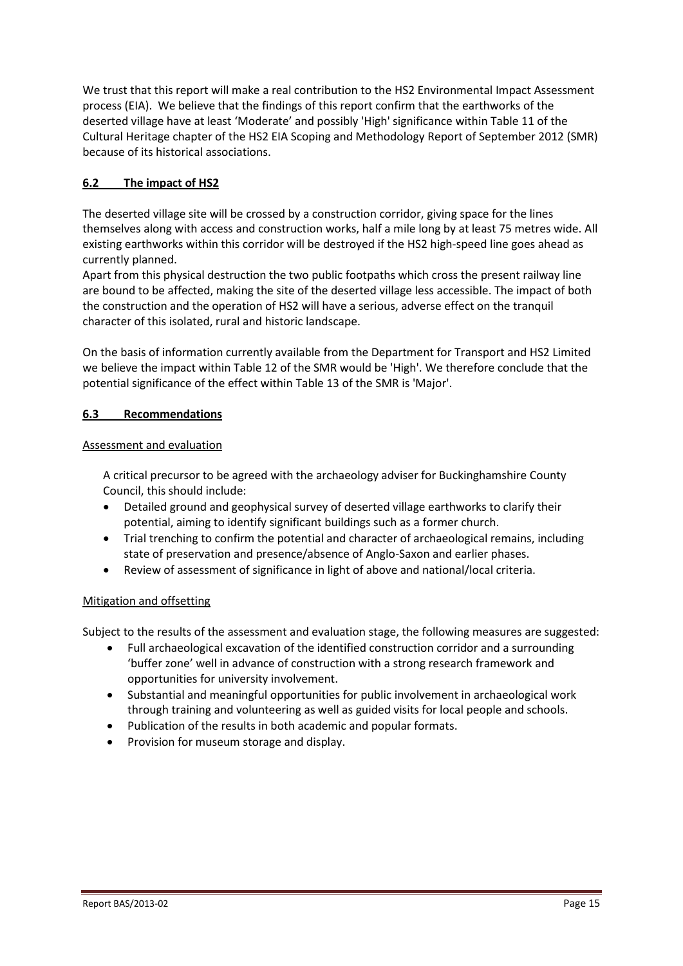We trust that this report will make a real contribution to the HS2 Environmental Impact Assessment process (EIA). We believe that the findings of this report confirm that the earthworks of the deserted village have at least 'Moderate' and possibly 'High' significance within Table 11 of the Cultural Heritage chapter of the HS2 EIA Scoping and Methodology Report of September 2012 (SMR) because of its historical associations.

#### **6.2 The impact of HS2**

The deserted village site will be crossed by a construction corridor, giving space for the lines themselves along with access and construction works, half a mile long by at least 75 metres wide. All existing earthworks within this corridor will be destroyed if the HS2 high-speed line goes ahead as currently planned.

Apart from this physical destruction the two public footpaths which cross the present railway line are bound to be affected, making the site of the deserted village less accessible. The impact of both the construction and the operation of HS2 will have a serious, adverse effect on the tranquil character of this isolated, rural and historic landscape.

On the basis of information currently available from the Department for Transport and HS2 Limited we believe the impact within Table 12 of the SMR would be 'High'. We therefore conclude that the potential significance of the effect within Table 13 of the SMR is 'Major'.

#### **6.3 Recommendations**

#### Assessment and evaluation

A critical precursor to be agreed with the archaeology adviser for Buckinghamshire County Council, this should include:

- Detailed ground and geophysical survey of deserted village earthworks to clarify their potential, aiming to identify significant buildings such as a former church.
- Trial trenching to confirm the potential and character of archaeological remains, including state of preservation and presence/absence of Anglo-Saxon and earlier phases.
- Review of assessment of significance in light of above and national/local criteria.

#### Mitigation and offsetting

Subject to the results of the assessment and evaluation stage, the following measures are suggested:

- Full archaeological excavation of the identified construction corridor and a surrounding 'buffer zone' well in advance of construction with a strong research framework and opportunities for university involvement.
- Substantial and meaningful opportunities for public involvement in archaeological work through training and volunteering as well as guided visits for local people and schools.
- Publication of the results in both academic and popular formats.
- Provision for museum storage and display.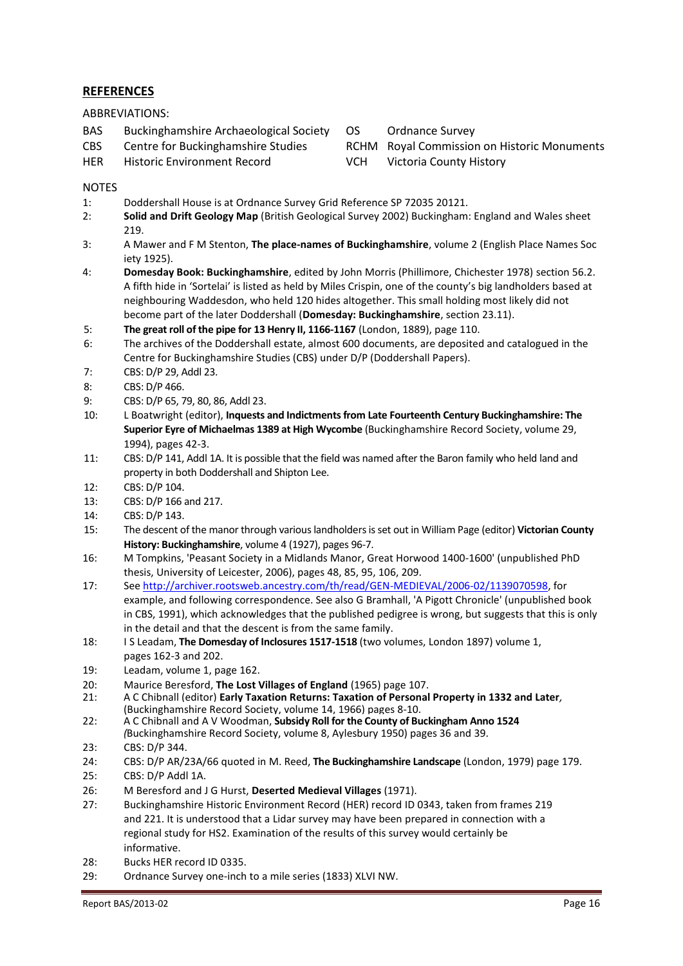#### **REFERENCES**

ABBREVIATIONS:

- BAS Buckinghamshire Archaeological Society
- CBS Centre for Buckinghamshire Studies
- HER Historic Environment Record
- OS Ordnance Survey
- RCHM Royal Commission on Historic Monuments
- VCH Victoria County History

#### **NOTES**

- 1: Doddershall House is at Ordnance Survey Grid Reference SP 72035 20121.
- 2: **Solid and Drift Geology Map** (British Geological Survey 2002) Buckingham: England and Wales sheet 219.
- 3: A Mawer and F M Stenton, **The place-names of Buckinghamshire**, volume 2 (English Place Names Soc iety 1925).
- 4: **Domesday Book: Buckinghamshire**, edited by John Morris (Phillimore, Chichester 1978) section 56.2. A fifth hide in 'Sortelai' is listed as held by Miles Crispin, one of the county's big landholders based at neighbouring Waddesdon, who held 120 hides altogether. This small holding most likely did not become part of the later Doddershall (**Domesday: Buckinghamshire**, section 23.11).
- 5: **The great roll of the pipe for 13 Henry II, 1166-1167** (London, 1889), page 110.
- 6: The archives of the Doddershall estate, almost 600 documents, are deposited and catalogued in the Centre for Buckinghamshire Studies (CBS) under D/P (Doddershall Papers).
- 7: CBS: D/P 29, Addl 23.
- 8: CBS: D/P 466.
- 9: CBS: D/P 65, 79, 80, 86, Addl 23.
- 10: L Boatwright (editor), **Inquests and Indictments from Late Fourteenth Century Buckinghamshire: The Superior Eyre of Michaelmas 1389 at High Wycombe** (Buckinghamshire Record Society, volume 29, 1994), pages 42-3.
- 11: CBS: D/P 141, Addl 1A. It is possible that the field was named after the Baron family who held land and property in both Doddershall and Shipton Lee.
- 12: CBS: D/P 104.
- 13: CBS: D/P 166 and 217.
- 14: CBS: D/P 143.
- 15: The descent of the manor through various landholders is set out in William Page (editor) **Victorian County History: Buckinghamshire**, volume 4 (1927), pages 96-7.
- 16: M Tompkins, 'Peasant Society in a Midlands Manor, Great Horwood 1400-1600' (unpublished PhD thesis, University of Leicester, 2006), pages 48, 85, 95, 106, 209.
- 17: See [http://archiver.rootsweb.ancestry.com/th/read/GEN-MEDIEVAL/2006-0](http://archiver.rootsweb.ancestry.com/th/read/GEN-MEDIEVAL/2006-)2/1139070598, for example, and following correspondence. See also G Bramhall, 'A Pigott Chronicle' (unpublished book in CBS, 1991), which acknowledges that the published pedigree is wrong, but suggests that this is only in the detail and that the descent is from the same family.
- 18: I S Leadam, **The Domesday of Inclosures 1517-1518** (two volumes, London 1897) volume 1, pages 162-3 and 202.
- 19: Leadam, volume 1, page 162.
- 20: Maurice Beresford, **The Lost Villages of England** (1965) page 107.
- 21: A C Chibnall (editor) **Early Taxation Returns: Taxation of Personal Property in 1332 and Later***,* (Buckinghamshire Record Society, volume 14, 1966) pages 8-10.
- 22: A C Chibnall and A V Woodman, **Subsidy Roll for the County of Buckingham Anno 1524** *(*Buckinghamshire Record Society, volume 8, Aylesbury 1950) pages 36 and 39.
- 23: CBS: D/P 344.
- 24: CBS: D/P AR/23A/66 quoted in M. Reed, **The Buckinghamshire Landscape** (London, 1979) page 179.
- 25: CBS: D/P Addl 1A.
- 26: M Beresford and J G Hurst, **Deserted Medieval Villages** (1971).
- 27: Buckinghamshire Historic Environment Record (HER) record ID 0343, taken from frames 219 and 221. It is understood that a Lidar survey may have been prepared in connection with a regional study for HS2. Examination of the results of this survey would certainly be informative.
- 28: Bucks HER record ID 0335.
- 29: Ordnance Survey one-inch to a mile series (1833) XLVI NW.